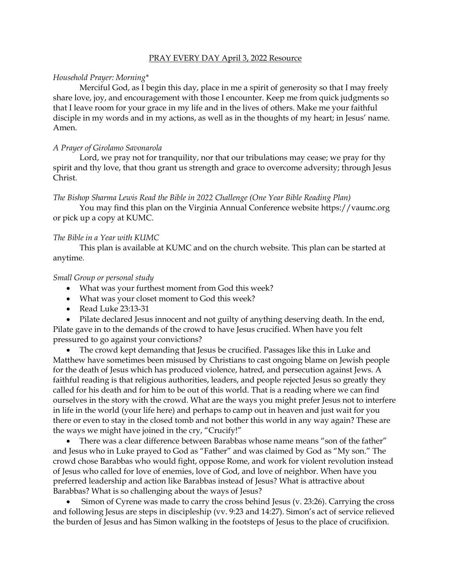#### PRAY EVERY DAY April 3, 2022 Resource

# *Household Prayer: Morning\**

Merciful God, as I begin this day, place in me a spirit of generosity so that I may freely share love, joy, and encouragement with those I encounter. Keep me from quick judgments so that I leave room for your grace in my life and in the lives of others. Make me your faithful disciple in my words and in my actions, as well as in the thoughts of my heart; in Jesus' name. Amen.

## *A Prayer of Girolamo Savonarola*

Lord, we pray not for tranquility, nor that our tribulations may cease; we pray for thy spirit and thy love, that thou grant us strength and grace to overcome adversity; through Jesus Christ.

## *The Bishop Sharma Lewis Read the Bible in 2022 Challenge (One Year Bible Reading Plan)*

You may find this plan on the Virginia Annual Conference website [https://vaumc.org](https://vaumc.org/) or pick up a copy at KUMC.

## *The Bible in a Year with KUMC*

This plan is available at KUMC and on the church website. This plan can be started at anytime.

## *Small Group or personal study*

- What was your furthest moment from God this week?
- What was your closet moment to God this week?
- Read Luke 23:13-31

• Pilate declared Jesus innocent and not guilty of anything deserving death. In the end, Pilate gave in to the demands of the crowd to have Jesus crucified. When have you felt pressured to go against your convictions?

• The crowd kept demanding that Jesus be crucified. Passages like this in Luke and Matthew have sometimes been misused by Christians to cast ongoing blame on Jewish people for the death of Jesus which has produced violence, hatred, and persecution against Jews. A faithful reading is that religious authorities, leaders, and people rejected Jesus so greatly they called for his death and for him to be out of this world. That is a reading where we can find ourselves in the story with the crowd. What are the ways you might prefer Jesus not to interfere in life in the world (your life here) and perhaps to camp out in heaven and just wait for you there or even to stay in the closed tomb and not bother this world in any way again? These are the ways we might have joined in the cry, "Crucify!"

• There was a clear difference between Barabbas whose name means "son of the father" and Jesus who in Luke prayed to God as "Father" and was claimed by God as "My son." The crowd chose Barabbas who would fight, oppose Rome, and work for violent revolution instead of Jesus who called for love of enemies, love of God, and love of neighbor. When have you preferred leadership and action like Barabbas instead of Jesus? What is attractive about Barabbas? What is so challenging about the ways of Jesus?

• Simon of Cyrene was made to carry the cross behind Jesus (v. 23:26). Carrying the cross and following Jesus are steps in discipleship (vv. 9:23 and 14:27). Simon's act of service relieved the burden of Jesus and has Simon walking in the footsteps of Jesus to the place of crucifixion.